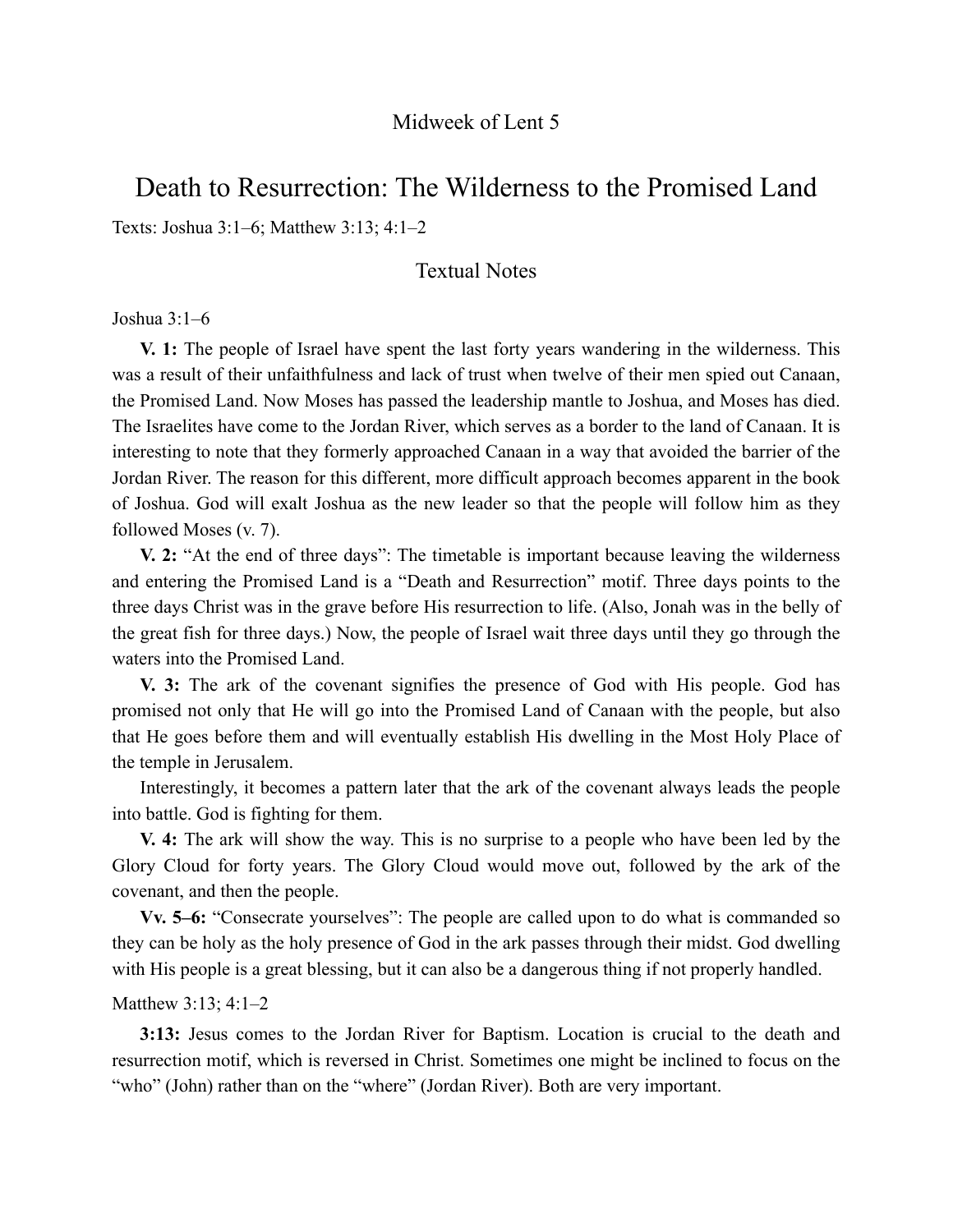# Death to Resurrection: The Wilderness to the Promised Land

Texts: Joshua 3:1–6; Matthew 3:13; 4:1–2

## Textual Notes

#### Joshua 3:1–6

**V. 1:** The people of Israel have spent the last forty years wandering in the wilderness. This was a result of their unfaithfulness and lack of trust when twelve of their men spied out Canaan, the Promised Land. Now Moses has passed the leadership mantle to Joshua, and Moses has died. The Israelites have come to the Jordan River, which serves as a border to the land of Canaan. It is interesting to note that they formerly approached Canaan in a way that avoided the barrier of the Jordan River. The reason for this different, more difficult approach becomes apparent in the book of Joshua. God will exalt Joshua as the new leader so that the people will follow him as they followed Moses (v. 7).

**V. 2:** "At the end of three days": The timetable is important because leaving the wilderness and entering the Promised Land is a "Death and Resurrection" motif. Three days points to the three days Christ was in the grave before His resurrection to life. (Also, Jonah was in the belly of the great fish for three days.) Now, the people of Israel wait three days until they go through the waters into the Promised Land.

**V. 3:** The ark of the covenant signifies the presence of God with His people. God has promised not only that He will go into the Promised Land of Canaan with the people, but also that He goes before them and will eventually establish His dwelling in the Most Holy Place of the temple in Jerusalem.

Interestingly, it becomes a pattern later that the ark of the covenant always leads the people into battle. God is fighting for them.

**V. 4:** The ark will show the way. This is no surprise to a people who have been led by the Glory Cloud for forty years. The Glory Cloud would move out, followed by the ark of the covenant, and then the people.

**Vv. 5–6:** "Consecrate yourselves": The people are called upon to do what is commanded so they can be holy as the holy presence of God in the ark passes through their midst. God dwelling with His people is a great blessing, but it can also be a dangerous thing if not properly handled.

#### Matthew 3:13; 4:1–2

**3:13:** Jesus comes to the Jordan River for Baptism. Location is crucial to the death and resurrection motif, which is reversed in Christ. Sometimes one might be inclined to focus on the "who" (John) rather than on the "where" (Jordan River). Both are very important.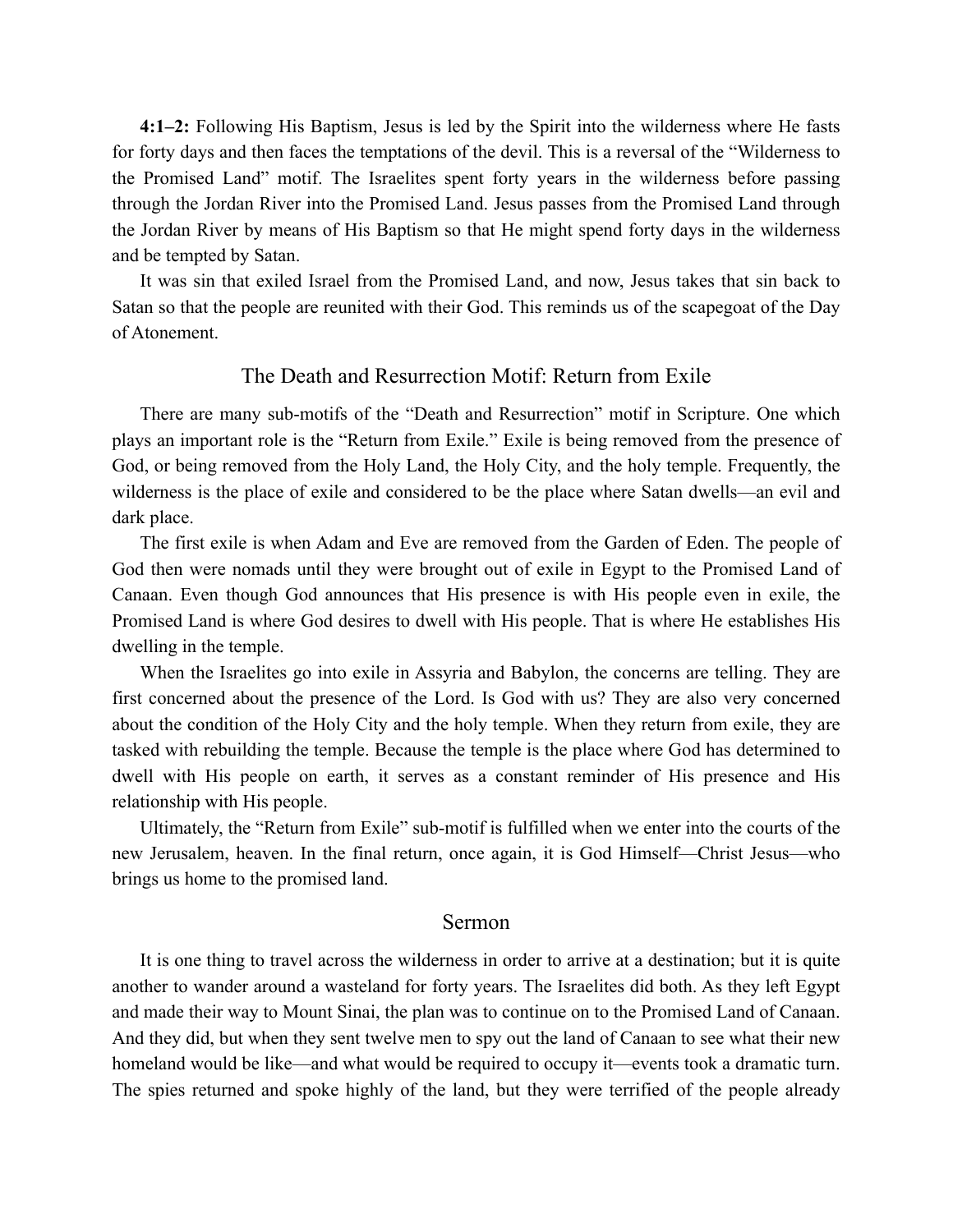**4:1–2:** Following His Baptism, Jesus is led by the Spirit into the wilderness where He fasts for forty days and then faces the temptations of the devil. This is a reversal of the "Wilderness to the Promised Land" motif. The Israelites spent forty years in the wilderness before passing through the Jordan River into the Promised Land. Jesus passes from the Promised Land through the Jordan River by means of His Baptism so that He might spend forty days in the wilderness and be tempted by Satan.

It was sin that exiled Israel from the Promised Land, and now, Jesus takes that sin back to Satan so that the people are reunited with their God. This reminds us of the scapegoat of the Day of Atonement.

### The Death and Resurrection Motif: Return from Exile

There are many sub-motifs of the "Death and Resurrection" motif in Scripture. One which plays an important role is the "Return from Exile." Exile is being removed from the presence of God, or being removed from the Holy Land, the Holy City, and the holy temple. Frequently, the wilderness is the place of exile and considered to be the place where Satan dwells—an evil and dark place.

The first exile is when Adam and Eve are removed from the Garden of Eden. The people of God then were nomads until they were brought out of exile in Egypt to the Promised Land of Canaan. Even though God announces that His presence is with His people even in exile, the Promised Land is where God desires to dwell with His people. That is where He establishes His dwelling in the temple.

When the Israelites go into exile in Assyria and Babylon, the concerns are telling. They are first concerned about the presence of the Lord. Is God with us? They are also very concerned about the condition of the Holy City and the holy temple. When they return from exile, they are tasked with rebuilding the temple. Because the temple is the place where God has determined to dwell with His people on earth, it serves as a constant reminder of His presence and His relationship with His people.

Ultimately, the "Return from Exile" sub-motif is fulfilled when we enter into the courts of the new Jerusalem, heaven. In the final return, once again, it is God Himself—Christ Jesus—who brings us home to the promised land.

#### Sermon

It is one thing to travel across the wilderness in order to arrive at a destination; but it is quite another to wander around a wasteland for forty years. The Israelites did both. As they left Egypt and made their way to Mount Sinai, the plan was to continue on to the Promised Land of Canaan. And they did, but when they sent twelve men to spy out the land of Canaan to see what their new homeland would be like—and what would be required to occupy it—events took a dramatic turn. The spies returned and spoke highly of the land, but they were terrified of the people already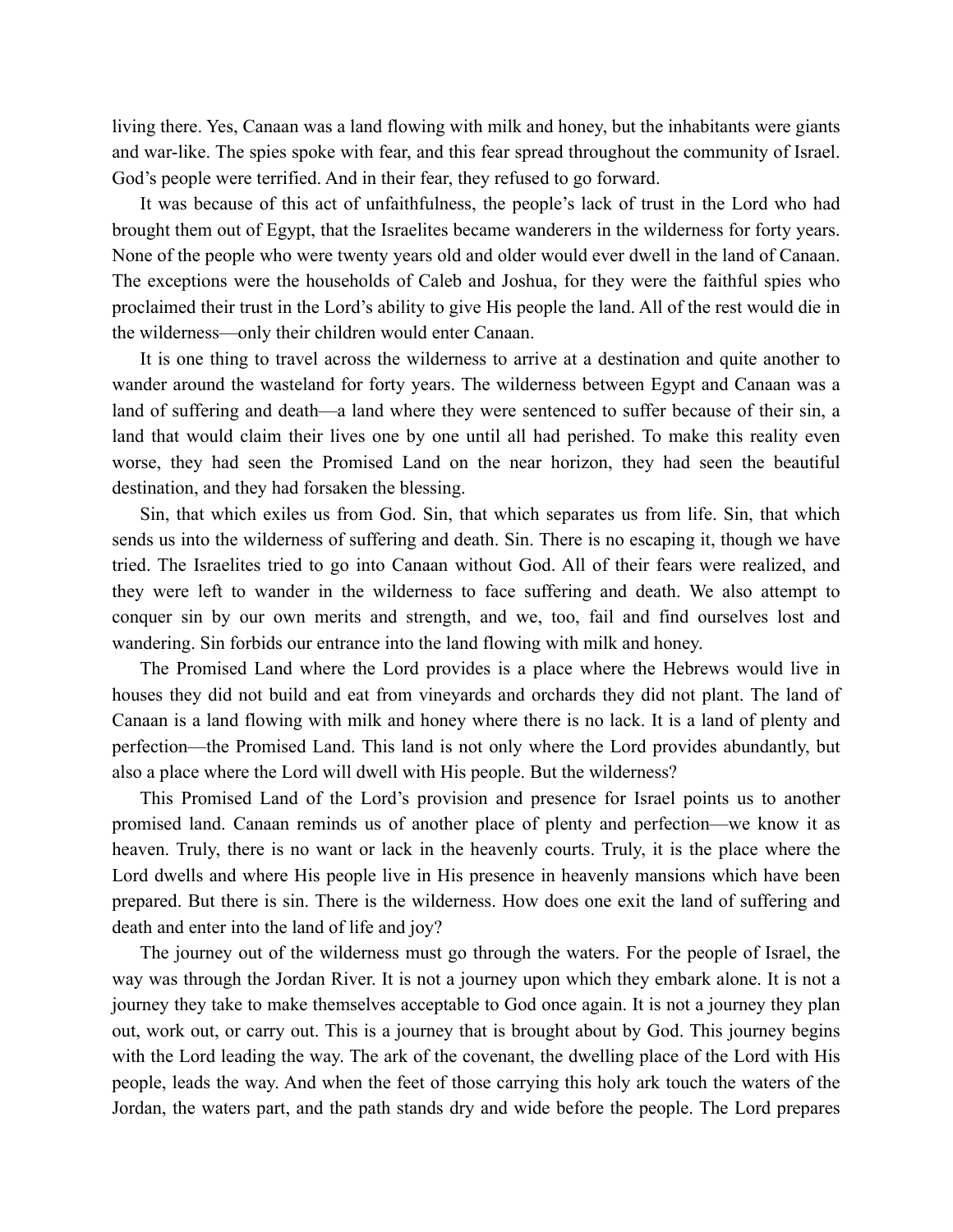living there. Yes, Canaan was a land flowing with milk and honey, but the inhabitants were giants and war-like. The spies spoke with fear, and this fear spread throughout the community of Israel. God's people were terrified. And in their fear, they refused to go forward.

It was because of this act of unfaithfulness, the people's lack of trust in the Lord who had brought them out of Egypt, that the Israelites became wanderers in the wilderness for forty years. None of the people who were twenty years old and older would ever dwell in the land of Canaan. The exceptions were the households of Caleb and Joshua, for they were the faithful spies who proclaimed their trust in the Lord's ability to give His people the land. All of the rest would die in the wilderness—only their children would enter Canaan.

It is one thing to travel across the wilderness to arrive at a destination and quite another to wander around the wasteland for forty years. The wilderness between Egypt and Canaan was a land of suffering and death—a land where they were sentenced to suffer because of their sin, a land that would claim their lives one by one until all had perished. To make this reality even worse, they had seen the Promised Land on the near horizon, they had seen the beautiful destination, and they had forsaken the blessing.

Sin, that which exiles us from God. Sin, that which separates us from life. Sin, that which sends us into the wilderness of suffering and death. Sin. There is no escaping it, though we have tried. The Israelites tried to go into Canaan without God. All of their fears were realized, and they were left to wander in the wilderness to face suffering and death. We also attempt to conquer sin by our own merits and strength, and we, too, fail and find ourselves lost and wandering. Sin forbids our entrance into the land flowing with milk and honey.

The Promised Land where the Lord provides is a place where the Hebrews would live in houses they did not build and eat from vineyards and orchards they did not plant. The land of Canaan is a land flowing with milk and honey where there is no lack. It is a land of plenty and perfection—the Promised Land. This land is not only where the Lord provides abundantly, but also a place where the Lord will dwell with His people. But the wilderness?

This Promised Land of the Lord's provision and presence for Israel points us to another promised land. Canaan reminds us of another place of plenty and perfection—we know it as heaven. Truly, there is no want or lack in the heavenly courts. Truly, it is the place where the Lord dwells and where His people live in His presence in heavenly mansions which have been prepared. But there is sin. There is the wilderness. How does one exit the land of suffering and death and enter into the land of life and joy?

The journey out of the wilderness must go through the waters. For the people of Israel, the way was through the Jordan River. It is not a journey upon which they embark alone. It is not a journey they take to make themselves acceptable to God once again. It is not a journey they plan out, work out, or carry out. This is a journey that is brought about by God. This journey begins with the Lord leading the way. The ark of the covenant, the dwelling place of the Lord with His people, leads the way. And when the feet of those carrying this holy ark touch the waters of the Jordan, the waters part, and the path stands dry and wide before the people. The Lord prepares